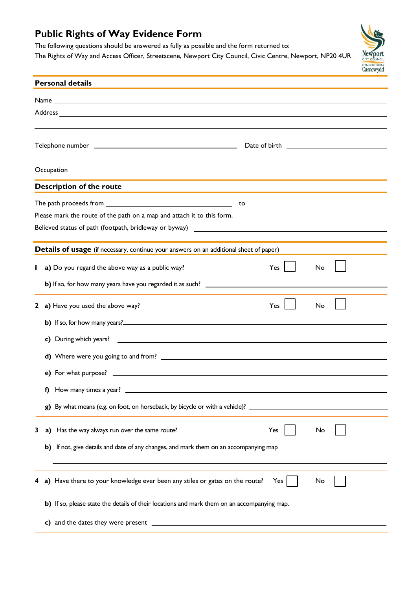## **Public Rights of Way Evidence Form**

The following questions should be answered as fully as possible and the form returned to:

The Rights of Way and Access Officer, Streetscene, Newport City Council, Civic Centre, Newport, NP20 4UR



| <b>Personal details</b>                                                                                       |    |                                                                                                                |  |  |  |  |  |
|---------------------------------------------------------------------------------------------------------------|----|----------------------------------------------------------------------------------------------------------------|--|--|--|--|--|
|                                                                                                               |    |                                                                                                                |  |  |  |  |  |
|                                                                                                               |    |                                                                                                                |  |  |  |  |  |
|                                                                                                               |    |                                                                                                                |  |  |  |  |  |
|                                                                                                               |    |                                                                                                                |  |  |  |  |  |
|                                                                                                               |    |                                                                                                                |  |  |  |  |  |
|                                                                                                               |    |                                                                                                                |  |  |  |  |  |
| <b>Description of the route</b>                                                                               |    |                                                                                                                |  |  |  |  |  |
|                                                                                                               |    |                                                                                                                |  |  |  |  |  |
| Please mark the route of the path on a map and attach it to this form.                                        |    |                                                                                                                |  |  |  |  |  |
| Believed status of path (footpath, bridleway or byway) 2008 2010 2020 2020 2031 2032 2033 2040 2040 2051 2062 |    |                                                                                                                |  |  |  |  |  |
| Details of usage (if necessary, continue your answers on an additional sheet of paper)                        |    |                                                                                                                |  |  |  |  |  |
|                                                                                                               |    | Yes                                                                                                            |  |  |  |  |  |
|                                                                                                               |    | a) Do you regard the above way as a public way?<br>No                                                          |  |  |  |  |  |
|                                                                                                               |    |                                                                                                                |  |  |  |  |  |
|                                                                                                               |    | 2 a) Have you used the above way?<br>Yes<br>No                                                                 |  |  |  |  |  |
|                                                                                                               |    |                                                                                                                |  |  |  |  |  |
|                                                                                                               |    |                                                                                                                |  |  |  |  |  |
|                                                                                                               |    |                                                                                                                |  |  |  |  |  |
|                                                                                                               |    |                                                                                                                |  |  |  |  |  |
|                                                                                                               | I) | How many times a year?                                                                                         |  |  |  |  |  |
|                                                                                                               |    | g) By what means (e.g. on foot, on horseback, by bicycle or with a vehicle)? _________________________________ |  |  |  |  |  |
|                                                                                                               |    |                                                                                                                |  |  |  |  |  |
| 3                                                                                                             |    | a) Has the way always run over the same route?<br>Yes<br>No                                                    |  |  |  |  |  |
|                                                                                                               |    | b) If not, give details and date of any changes, and mark them on an accompanying map                          |  |  |  |  |  |
|                                                                                                               |    |                                                                                                                |  |  |  |  |  |
| 4                                                                                                             |    | a) Have there to your knowledge ever been any stiles or gates on the route?<br>Yes<br>No                       |  |  |  |  |  |
|                                                                                                               |    | b) If so, please state the details of their locations and mark them on an accompanying map.                    |  |  |  |  |  |
|                                                                                                               |    |                                                                                                                |  |  |  |  |  |